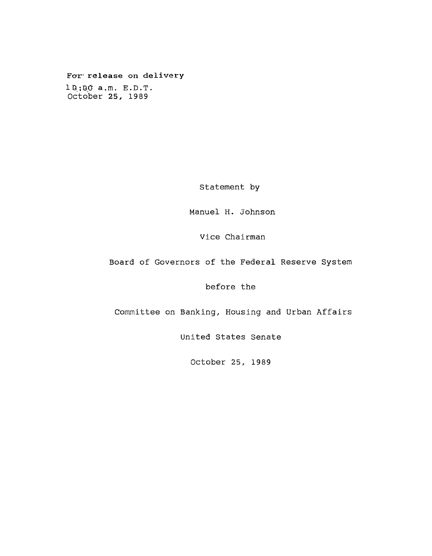# **Fcrr- release on delivery**

 $1.0,0.00$  a.m.  $E.D.T.$ October 25, 1989

Statement by

Manuel H. Johnson

Vice Chairman

Board of Governors of the Federal Reserve System

before the

Committee on Banking, Housing and Urban Affairs

United States Senate

October 25, 1989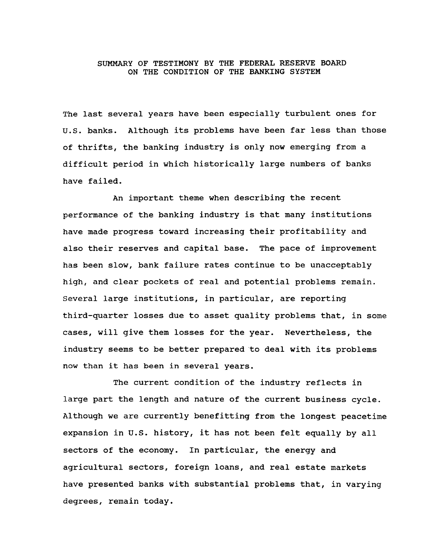# SUMMARY OF TESTIMONY BY THE FEDERAL RESERVE BOARD ON THE CONDITION OF THE BANKING SYSTEM

The last several years have been especially turbulent ones for U.S. banks. Although its problems have been far less than those of thrifts, the banking industry is only now emerging from a difficult period in which historically large numbers of banks have failed.

An important theme when describing the recent performance of the banking industry is that many institutions have made progress toward increasing their profitability and also their reserves and capital base. The pace of improvement has been slow, bank failure rates continue to be unacceptably high, and clear pockets of real and potential problems remain. Several large institutions, in particular, are reporting third-quarter losses due to asset quality problems that, in some cases, will give them losses for the year. Nevertheless, the industry seems to be better prepared to deal with its problems now than it has been in several years.

The current condition of the industry reflects in large part the length and nature of the current business cycle. Although we are currently benefitting from the longest peacetime expansion in U.S. history, it has not been felt equally by all sectors of the economy. In particular, the energy and agricultural sectors, foreign loans, and real estate markets have presented banks with substantial problems that, in varying degrees, remain today.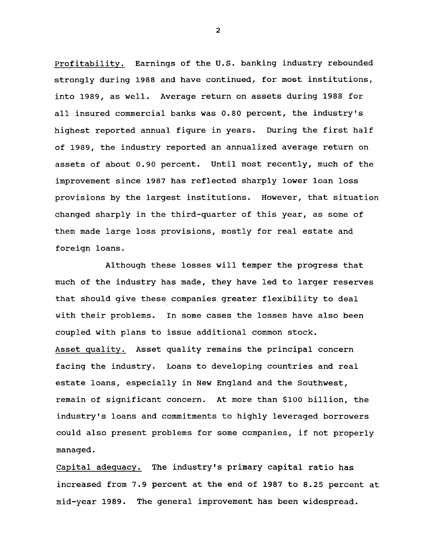Profitability. Earnings of the U.S. banking industry rebounded strongly during 1988 and have continued, for most institutions, into 1989, as well. Average return on assets during 1988 for all insured commercial banks was 0.80 percent, the industry's highest reported annual figure in years. During the first half of 1989, the industry reported an annualized average return on assets of about 0.90 percent. Until most recently, much of the improvement since 1987 has reflected sharply lower loan loss provisions by the largest institutions. However, that situation changed sharply in the third-quarter of this year, as some of them made large loss provisions, mostly for real estate and foreign loans.

Although these losses will temper the progress that much of the industry has made, they have led to larger reserves that should give these companies greater flexibility to deal with their problems. In some cases the losses have also been coupled with plans to issue additional common stock. Asset quality. Asset quality remains the principal concern facing the industry. Loans to developing countries and real estate loans, especially in New England and the Southwest, remain of significant concern. At more than \$100 billion, the industry's loans and commitments to highly leveraged borrowers could also present problems for some companies, if not properly managed.

Capital adequacy. The industry's primary capital ratio has increased from 7.9 percent at the end of 1987 to 8.25 percent at mid-year 1989. The general improvement has been widespread.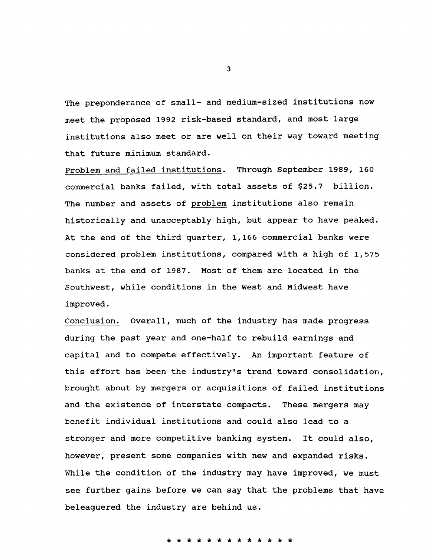The preponderance of small- and medium-sized institutions now meet the proposed 1992 risk-based standard, and most large institutions also meet or are well on their way toward meeting that future minimum standard.

Problem and failed institutions. Through September 1989, 160 commercial banks failed, with total assets of \$25.7 billion. The number and assets of problem institutions also remain historically and unacceptably high, but appear to have peaked. At the end of the third quarter, 1,166 commercial banks were considered problem institutions, compared with a high of 1,575 banks at the end of 1987. Most of them are located in the Southwest, while conditions in the West and Midwest have improved.

Conclusion. Overall, much of the industry has made progress during the past year and one-half to rebuild earnings and capital and to compete effectively. An important feature of this effort has been the industry's trend toward consolidation, brought about by mergers or acquisitions of failed institutions and the existence of interstate compacts. These mergers may benefit individual institutions and could also lead to a stronger and more competitive banking system. It could also, however, present some companies with new and expanded risks. While the condition of the industry may have improved, we must see further gains before we can say that the problems that have beleaguered the industry are behind us.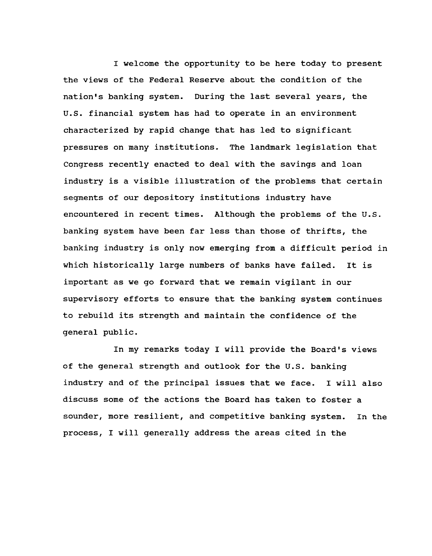I welcome the opportunity to be here today to present the views of the Federal Reserve about the condition of the nation's banking system. During the last several years, the U.S. financial system has had to operate in an environment characterized by rapid change that has led to significant pressures on many institutions. The landmark legislation that Congress recently enacted to deal with the savings and loan industry is a visible illustration of the problems that certain segments of our depository institutions industry have encountered in recent times. Although the problems of the U.S. banking system have been far less than those of thrifts, the banking industry is only now emerging from a difficult period in which historically large numbers of banks have failed. It is important as we go forward that we remain vigilant in our supervisory efforts to ensure that the banking system continues to rebuild its strength and maintain the confidence of the general public.

In my remarks today I will provide the Board's views of the general strength and outlook for the U.S. banking industry and of the principal issues that we face. I will also discuss some of the actions the Board has taken to foster a sounder, more resilient, and competitive banking system. In the process, I will generally address the areas cited in the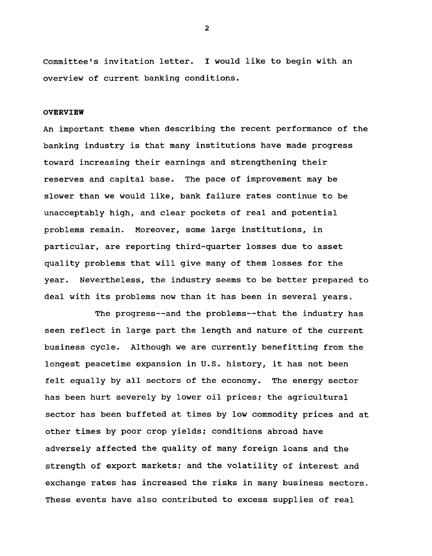Committee's invitation letter. I would like to begin with an overview of current banking conditions.

#### **OVERVIEW**

An important theme when describing the recent performance of the banking industry is that many institutions have made progress toward increasing their earnings and strengthening their reserves and capital base. The pace of improvement may be slower than we would like, bank failure rates continue to be unacceptably high, and clear pockets of real and potential problems remain. Moreover, some large institutions, in particular, are reporting third-quarter losses due to asset quality problems that will give many of them losses for the year. Nevertheless, the industry seems to be better prepared to deal with its problems now than it has been in several years.

The progress— and the problems— that the industry has seen reflect in large part the length and nature of the current business cycle. Although we are currently benefitting from the longest peacetime expansion in U.S. history, it has not been felt equally by all sectors of the economy. The energy sector has been hurt severely by lower oil prices; the agricultural sector has been buffeted at times by low commodity prices and at other times by poor crop yields; conditions abroad have adversely affected the quality of many foreign loans and the strength of export markets; and the volatility of interest and exchange rates has increased the risks in many business sectors. These events have also contributed to excess supplies of real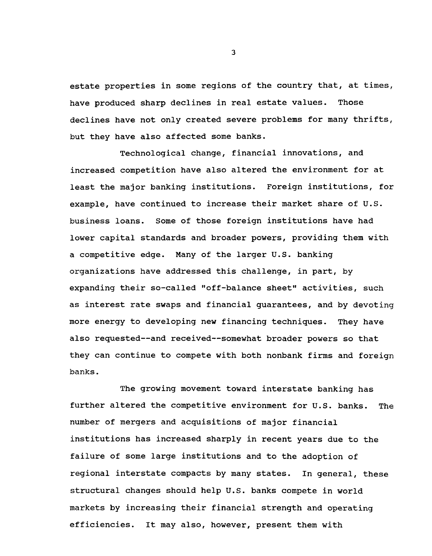estate properties in some regions of the country that, at times, have produced sharp declines in real estate values. Those declines have not only created severe problems for many thrifts, but they have also affected some banks.

Technological change, financial innovations, and increased competition have also altered the environment for at least the major banking institutions. Foreign institutions, for example, have continued to increase their market share of U.S. business loans. Some of those foreign institutions have had lower capital standards and broader powers, providing them with a competitive edge. Many of the larger U.S. banking organizations have addressed this challenge, in part, by expanding their so-called "off-balance sheet" activities, such as interest rate swaps and financial guarantees, and by devoting more energy to developing new financing techniques. They have also requested--and received--somewhat broader powers so that they can continue to compete with both nonbank firms and foreign banks.

The growing movement toward interstate banking has further altered the competitive environment for U.S. banks. The number of mergers and acquisitions of major financial institutions has increased sharply in recent years due to the failure of some large institutions and to the adoption of regional interstate compacts by many states. In general, these structural changes should help U.S. banks compete in world markets by increasing their financial strength and operating efficiencies. It may also, however, present them with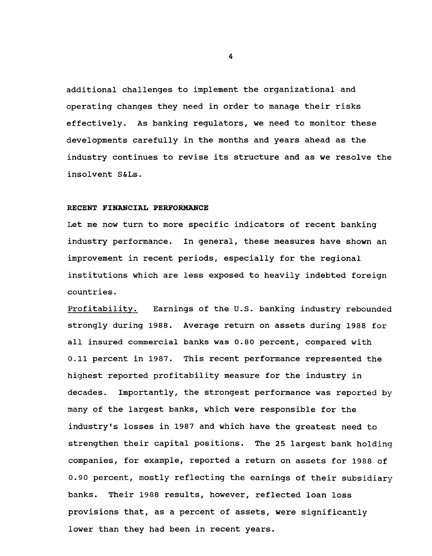additional challenges to implement the organizational and operating changes they need in order to manage their risks effectively. As banking regulators, we need to monitor these developments carefully in the months and years ahead as the industry continues to revise its structure and as we resolve the insolvent S&Ls.

## **RECENT FINANCIAL PERFORMANCE**

Let me now turn to more specific indicators of recent banking industry performance. In general, these measures have shown an improvement in recent periods, especially for the regional institutions which are less exposed to heavily indebted foreign countries.

Profitability. Earnings of the U.S. banking industry rebounded strongly during 1988. Average return on assets during 1988 for all insured commercial banks was 0.80 percent, compared with 0.11 percent in 1987. This recent performance represented the highest reported profitability measure for the industry in decades. Importantly, the strongest performance was reported by many of the largest banks, which were responsible for the industry's losses in 1987 and which have the greatest need to strengthen their capital positions. The 25 largest bank holding companies, for example, reported a return on assets for 1988 of 0.90 percent, mostly reflecting the earnings of their subsidiary banks. Their 1988 results, however, reflected loan loss provisions that, as a percent of assets, were significantly lower than they had been in recent years.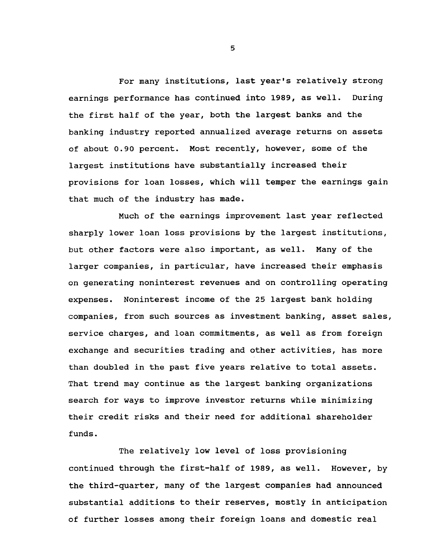For many institutions, last year's relatively strong earnings performance has continued into 1989, as well. During the first half of the year, both the largest banks and the banking industry reported annualized average returns on assets of about 0.90 percent. Most recently, however, some of the largest institutions have substantially increased their provisions for loan losses, which will temper the earnings gain that much of the industry has made.

Much of the earnings improvement last year reflected sharply lower loan loss provisions by the largest institutions, but other factors were also important, as well. Many of the larger companies, in particular, have increased their emphasis on generating noninterest revenues and on controlling operating expenses. Noninterest income of the 25 largest bank holding companies, from such sources as investment banking, asset sales, service charges, and loan commitments, as well as from foreign exchange and securities trading and other activities, has more than doubled in the past five years relative to total assets. That trend may continue as the largest banking organizations search for ways to improve investor returns while minimizing their credit risks and their need for additional shareholder funds.

The relatively low level of loss provisioning continued through the first-half of 1989, as well. However, by the third-quarter, many of the largest companies had announced substantial additions to their reserves, mostly in anticipation of further losses among their foreign loans and domestic real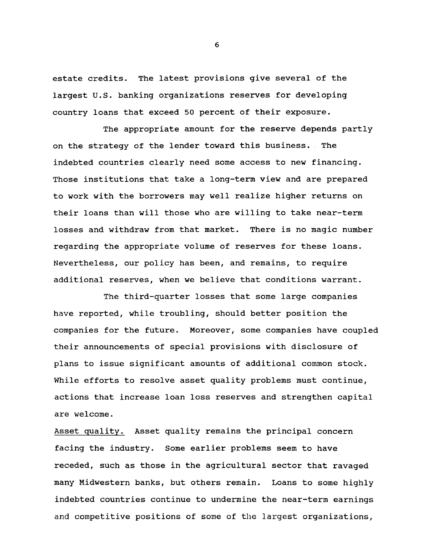estate credits. The latest provisions give several of the largest U.S. banking organizations reserves for developing country loans that exceed 50 percent of their exposure.

The appropriate amount for the reserve depends partly on the strategy of the lender toward this business. The indebted countries clearly need some access to new financing. Those institutions that take a long-term view and are prepared to work with the borrowers may well realize higher returns on their loans than will those who are willing to take near-term losses and withdraw from that market. There is no magic number regarding the appropriate volume of reserves for these loans. Nevertheless, our policy has been, and remains, to require additional reserves, when we believe that conditions warrant.

The third-quarter losses that some large companies have reported, while troubling, should better position the companies for the future. Moreover, some companies have coupled their announcements of special provisions with disclosure of plans to issue significant amounts of additional common stock. While efforts to resolve asset quality problems must continue, actions that increase loan loss reserves and strengthen capital are welcome.

Asset quality. Asset quality remains the principal concern facing the industry. Some earlier problems seem to have receded, such as those in the agricultural sector that ravaged many Midwestern banks, but others remain. Loans to some highly indebted countries continue to undermine the near-term earnings and competitive positions of some of the largest organizations,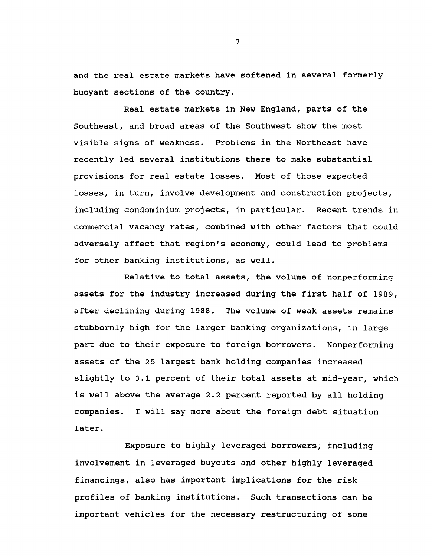and the real estate markets have softened in several formerly buoyant sections of the country.

Real estate markets in New England, parts of the Southeast, and broad areas of the Southwest show the most visible signs of weakness. Problems in the Northeast have recently led several institutions there to make substantial provisions for real estate losses. Most of those expected losses, in turn, involve development and construction projects, including condominium projects, in particular. Recent trends in commercial vacancy rates, combined with other factors that could adversely affect that region's economy, could lead to problems for other banking institutions, as well.

Relative to total assets, the volume of nonperforming assets for the industry increased during the first half of 1989, after declining during 1988. The volume of weak assets remains stubbornly high for the larger banking organizations, in large part due to their exposure to foreign borrowers. Nonperforming assets of the 25 largest bank holding companies increased slightly to 3.1 percent of their total assets at mid-year, which is well above the average 2.2 percent reported by all holding companies. I will say more about the foreign debt situation later.

Exposure to highly leveraged borrowers; including involvement in leveraged buyouts and other highly leveraged financings, also has important implications for the risk profiles of banking institutions. Such transactions can be important vehicles for the necessary restructuring of some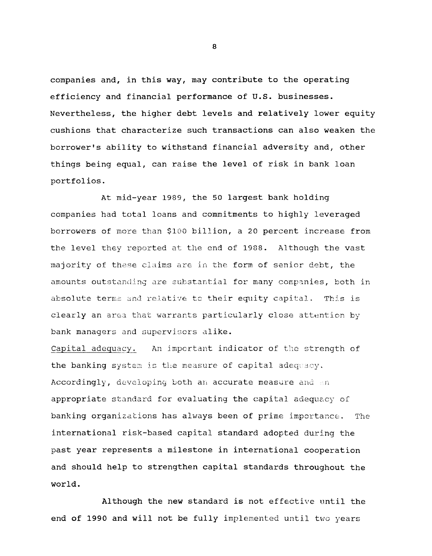companies and, in this way, may contribute to the operating efficiency and financial performance of U.S. businesses. Nevertheless, the higher debt levels and relatively lower equity cushions that characterize such transactions can also weaken the borrower's ability to withstand financial adversity and, other things being equal, can raise the level of risk in bank loan portfolios.

At mid-year 1989, the 50 largest bank holding companies had total loans and commitments to highly leveraged borrowers of more than \$100 billion, a 20 percent increase from the level they reported at the end of 1988. Although the vast majority of these claims are in the form of senior debt, the amounts outstanding are substantial for many companies, both in absolute terms and relative to their equity capital. This is clearly an area that warrants particularly close attention by bank managers and supervisors alike.

Capital adequacy. An important indicator of the strength of the banking system is the measure of capital adequacy. Accordingly, developing both an accurate measure and an appropriate standard for evaluating the capital adequacy of banking organizations has always been of prime importance. The international risk-based capital standard adopted during the past year represents a milestone in international cooperation and should help to strengthen capital standards throughout the world.

Although the new standard is not effective until the end of 1990 and will not be fully implemented until two years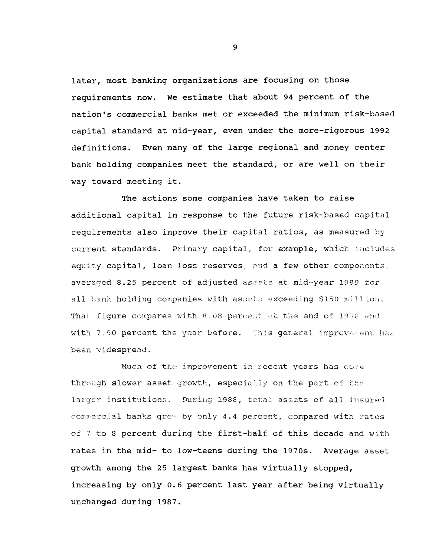later, most banking organizations are focusing on those requirements now. We estimate that about 94 percent of the nation's commercial banks met or exceeded the minimum risk-based capital standard at mid-year, even under the more-rigorous 1992 definitions. Even many of the large regional and money center bank holding companies meet the standard, or are well on their way toward meeting it.

The actions some companies have taken to raise additional capital in response to the future risk-based capital requirements also improve their capital ratios, as measured by current standards. Primary capital, for example, which includes equity capital, loan loss reserves, and a few other components, averaged 8.25 percent of adjusted assets at mid-year 1989 for all bank holding companies with assets exceeding \$150 million. That figure compares with 8.08 percent at the end of 1988 and with 7.90 percent the year before. This general improverent has been widespread.

Much of the improvement in recent years has come through slower asset growth, especially on the part of the larger institutions. During 1988, total assets of all insured commercial banks grew by only 4.4 percent, compared with rates of 7 to 8 percent during the first-half of this decade and with rates in the mid- to low-teens during the 1970s. Average asset growth among the 25 largest banks has virtually stopped, increasing by only 0.6 percent last year after being virtually unchanged during 1987.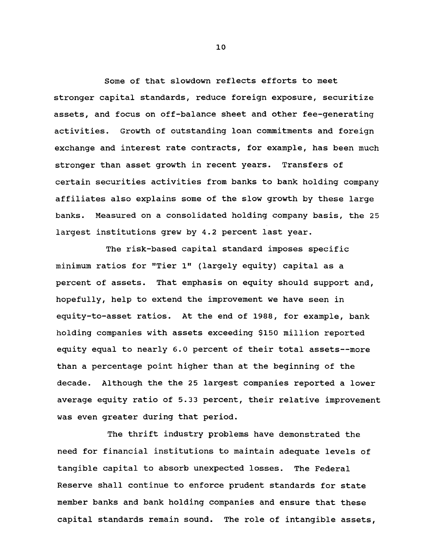Some of that slowdown reflects efforts to meet stronger capital standards, reduce foreign exposure, securitize assets, and focus on off-balance sheet and other fee-generating activities. Growth of outstanding loan commitments and foreign exchange and interest rate contracts, for example, has been much stronger than asset growth in recent years. Transfers of certain securities activities from banks to bank holding company affiliates also explains some of the slow growth by these large banks. Measured on a consolidated holding company basis, the 25 largest institutions grew by 4.2 percent last year.

The risk-based capital standard imposes specific minimum ratios for "Tier 1" (largely equity) capital as a percent of assets. That emphasis on equity should support and, hopefully, help to extend the improvement we have seen in equity-to-asset ratios. At the end of 1988, for example, bank holding companies with assets exceeding \$150 million reported equity equal to nearly 6.0 percent of their total assets— more than a percentage point higher than at the beginning of the decade. Although the the 25 largest companies reported a lower average equity ratio of 5.33 percent, their relative improvement was even greater during that period.

The thrift industry problems have demonstrated the need for financial institutions to maintain adequate levels of tangible capital to absorb unexpected losses. The Federal Reserve shall continue to enforce prudent standards for state member banks and bank holding companies and ensure that these capital standards remain sound. The role of intangible assets,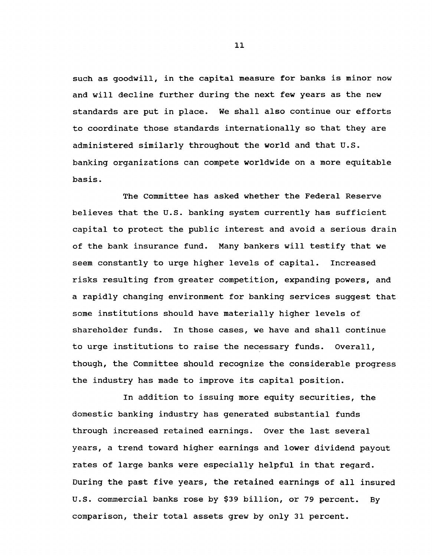such as goodwill, in the capital measure for banks is minor now and will decline further during the next few years as the new standards are put in place. We shall also continue our efforts to coordinate those standards internationally so that they are administered similarly throughout the world and that U.S. banking organizations can compete worldwide on a more equitable basis.

The Committee has asked whether the Federal Reserve believes that the U.S. banking system currently has sufficient capital to protect the public interest and avoid a serious drain of the bank insurance fund. Many bankers will testify that we seem constantly to urge higher levels of capital. Increased risks resulting from greater competition, expanding powers, and a rapidly changing environment for banking services suggest that some institutions should have materially higher levels of shareholder funds. In those cases, we have and shall continue to urge institutions to raise the necessary funds. Overall, though, the Committee should recognize the considerable progress the industry has made to improve its capital position.

In addition to issuing more equity securities, the domestic banking industry has generated substantial funds through increased retained earnings. Over the last several years, a trend toward higher earnings and lower dividend payout rates of large banks were especially helpful in that regard. During the past five years, the retained earnings of all insured U.S. commercial banks rose by \$39 billion, or 79 percent. By comparison, their total assets grew by only 31 percent.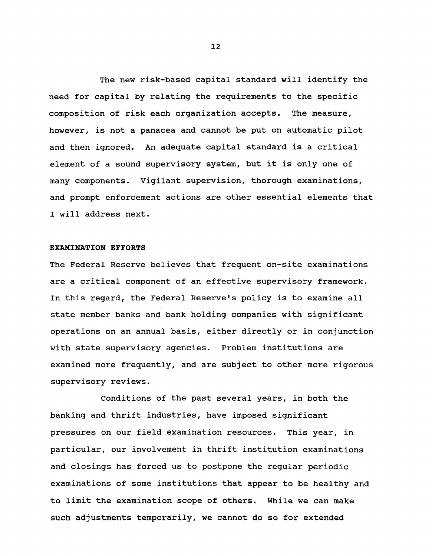The new risk-based capital standard will identify the need for capital by relating the requirements to the specific composition of risk each organization accepts. The measure, however, is not a panacea and cannot be put on automatic pilot and then ignored. An adequate capital standard is a critical element of a sound supervisory system, but it is only one of many components. Vigilant supervision, thorough examinations, and prompt enforcement actions are other essential elements that I will address next.

#### **EXAMINATION EFFORTS**

The Federal Reserve believes that frequent on-site examinations are a critical component of an effective supervisory framework. In this regard, the Federal Reserve's policy is to examine all state member banks and bank holding companies with significant operations on an annual basis, either directly or in conjunction with state supervisory agencies. Problem institutions are examined more frequently, and are subject to other more rigorous supervisory reviews.

Conditions of the past several years, in both the banking and thrift industries, have imposed significant pressures on our field examination resources. This year, in particular, our involvement in thrift institution examinations and closings has forced us to postpone the regular periodic examinations of some institutions that appear to be healthy and to limit the examination scope of others. While we can make such adjustments temporarily, we cannot do so for extended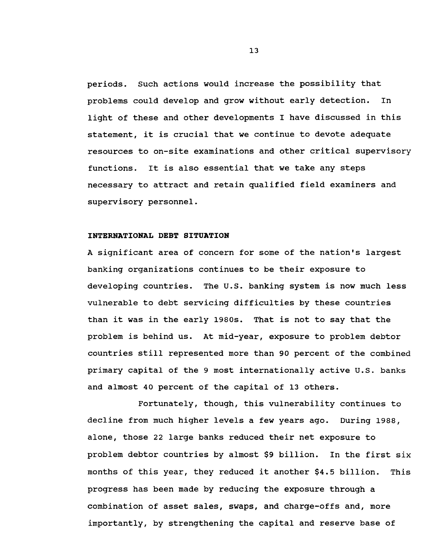periods. Such actions would increase the possibility that problems could develop and grow without early detection. In light of these and other developments I have discussed in this statement, it is crucial that we continue to devote adequate resources to on-site examinations and other critical supervisory functions. It is also essential that we take any steps necessary to attract and retain qualified field examiners and supervisory personnel.

## **INTERNATIONAL DEBT SITUATION**

A significant area of concern for some of the nation's largest banking organizations continues to be their exposure to developing countries. The U.S. banking system is now much less vulnerable to debt servicing difficulties by these countries than it was in the early 1980s. That is not to say that the problem is behind us. At mid-year, exposure to problem debtor countries still represented more than 90 percent of the combined primary capital of the 9 most internationally active U.S. banks and almost 40 percent of the capital of 13 others.

Fortunately, though, this vulnerability continues to decline from much higher levels a few years ago. During 1988, alone, those 22 large banks reduced their net exposure to problem debtor countries by almost \$9 billion. In the first six months of this year, they reduced it another \$4.5 billion. This progress has been made by reducing the exposure through a combination of asset sales, swaps, and charge-offs and, more importantly, by strengthening the capital and reserve base of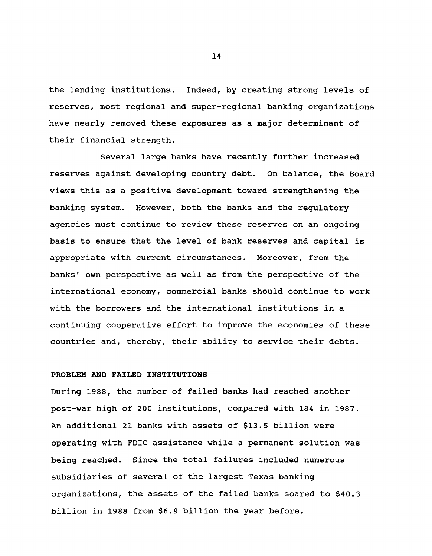the lending institutions. Indeed, by creating strong levels of reserves, most regional and super-regional banking organizations have nearly removed these exposures as a major determinant of their financial strength.

Several large banks have recently further increased reserves against developing country debt. On balance, the Board views this as a positive development toward strengthening the banking system. However, both the banks and the regulatory agencies must continue to review these reserves on an ongoing basis to ensure that the level of bank reserves and capital is appropriate with current circumstances. Moreover, from the banks' own perspective as well as from the perspective of the international economy, commercial banks should continue to work with the borrowers and the international institutions in a continuing cooperative effort to improve the economies of these countries and, thereby, their ability to service their debts.

### PROBLEM AND FAILED INSTITUTIONS

During 1988, the number of failed banks had reached another post-war high of 200 institutions, compared with 184 in 1987. An additional 21 banks with assets of \$13.5 billion were operating with FDIC assistance while a permanent solution was being reached. Since the total failures included numerous subsidiaries of several of the largest Texas banking organizations, the assets of the failed banks soared to \$40.3 billion in 1988 from \$6.9 billion the year before.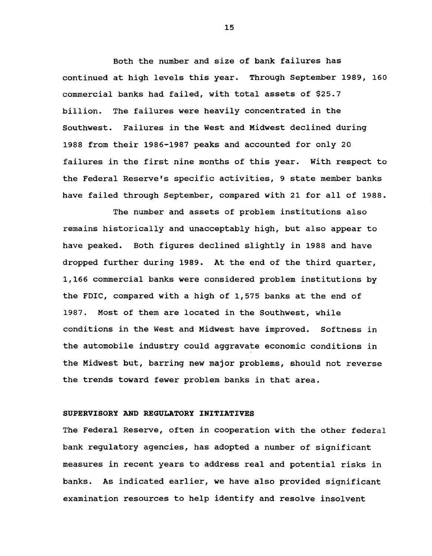Both the number and size of bank failures has continued at high levels this year. Through September 1989, 160 commercial banks had failed, with total assets of \$25.7 billion. The failures were heavily concentrated in the Southwest. Failures in the West and Midwest declined during 1988 from their 1986-1987 peaks and accounted for only 20 failures in the first nine months of this year. With respect to the Federal Reserve's specific activities, 9 state member banks have failed through September, compared with 21 for all of 1988.

The number and assets of problem institutions also remains historically and unacceptably high, but also appear to have peaked. Both figures declined slightly in 1988 and have dropped further during 1989. At the end of the third quarter, 1,166 commercial banks were considered problem institutions by the FDIC, compared with a high of 1,575 banks at the end of 1987. Most of them are located in the Southwest, while conditions in the West and Midwest have improved. Softness in the automobile industry could aggravate economic conditions in the Midwest but, barring new major problems, should not reverse the trends toward fewer problem banks in that area.

# **SUPERVISORY AND REGULATORY INITIATIVES**

The Federal Reserve, often in cooperation with the other federal bank regulatory agencies, has adopted a number of significant measures in recent years to address real and potential risks in banks. As indicated earlier, we have also provided significant examination resources to help identify and resolve insolvent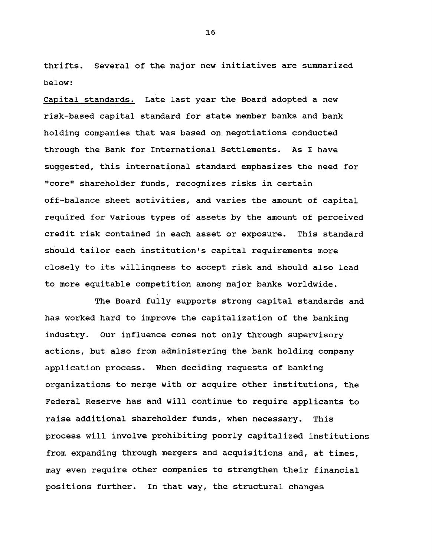thrifts. Several of the major new initiatives are summarized below:

Capital standards. Late last year the Board adopted a new risk-based capital standard for state member banks and bank holding companies that was based on negotiations conducted through the Bank for International Settlements. As I have suggested, this international standard emphasizes the need for "core" shareholder funds, recognizes risks in certain off-balance sheet activities, and varies the amount of capital required for various types of assets by the amount of perceived credit risk contained in each asset or exposure. This standard should tailor each institution's capital requirements more closely to its willingness to accept risk and should also lead to more equitable competition among major banks worldwide.

The Board fully supports strong capital standards and has worked hard to improve the capitalization of the banking industry. Our influence comes not only through supervisory actions, but also from administering the bank holding company application process. When deciding requests of banking organizations to merge with or acquire other institutions, the Federal Reserve has and will continue to require applicants to raise additional shareholder funds, when necessary. This process will involve prohibiting poorly capitalized institutions from expanding through mergers and acquisitions and, at times, may even require other companies to strengthen their financial positions further. In that way, the structural changes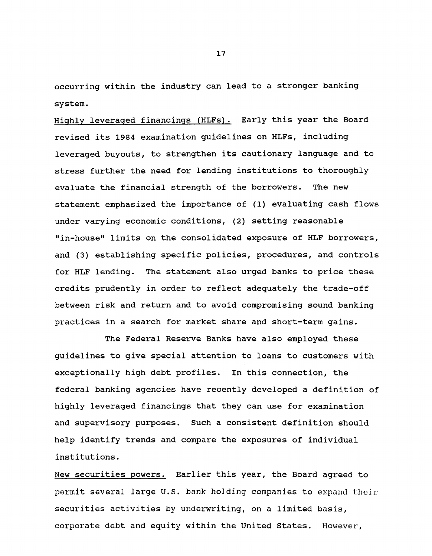occurring within the industry can lead to a stronger banking system.

Highly leveraged financings (HLFs). Early this year the Board revised its 1984 examination guidelines on HLFs, including leveraged buyouts, to strengthen its cautionary language and to stress further the need for lending institutions to thoroughly evaluate the financial strength of the borrowers. The new statement emphasized the importance of (1) evaluating cash flows under varying economic conditions, (2) setting reasonable "in-house" limits on the consolidated exposure of HLF borrowers, and (3) establishing specific policies, procedures, and controls for HLF lending. The statement also urged banks to price these credits prudently in order to reflect adequately the trade-off between risk and return and to avoid compromising sound banking practices in a search for market share and short-term gains.

The Federal Reserve Banks have also employed these guidelines to give special attention to loans to customers with exceptionally high debt profiles. In this connection, the federal banking agencies have recently developed a definition of highly leveraged financings that they can use for examination and supervisory purposes. Such a consistent definition should help identify trends and compare the exposures of individual institutions.

New securities powers. Earlier this year, the Board agreed to permit several large U.S. bank holding companies to expand their securities activities by underwriting, on a limited basis, corporate debt and equity within the United States. However,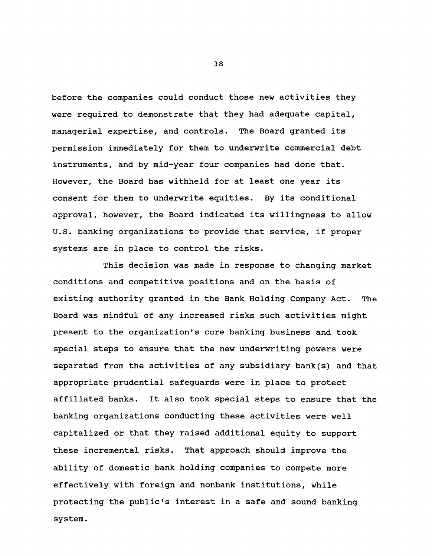before the companies could conduct those new activities they were required to demonstrate that they had adequate capital, managerial expertise, and controls. The Board granted its permission immediately for them to underwrite commercial debt instruments, and by mid-year four companies had done that. However, the Board has withheld for at least one year its consent for them to underwrite equities. By its conditional approval, however, the Board indicated its willingness to allow U.S. banking organizations to provide that service, if proper systems are in place to control the risks.

This decision was made in response to changing market conditions and competitive positions and on the basis of existing authority granted in the Bank Holding Company Act. The Board was mindful of any increased risks such activities might present to the organization's core banking business and took special steps to ensure that the new underwriting powers were separated from the activities of any subsidiary bank(s) and that appropriate prudential safeguards were in place to protect affiliated banks. It also took special steps to ensure that the banking organizations conducting these activities were well capitalized or that they raised additional equity to support these incremental risks. That approach should improve the ability of domestic bank holding companies to compete more effectively with foreign and nonbank institutions, while protecting the public's interest in a safe and sound banking system.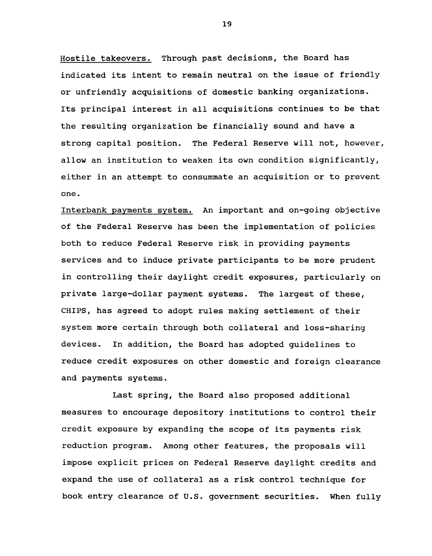Hostile takeovers. Through past decisions, the Board has indicated its intent to remain neutral on the issue of friendly or unfriendly acquisitions of domestic banking organizations. Its principal interest in all acquisitions continues to be that the resulting organization be financially sound and have a strong capital position. The Federal Reserve will not, however, allow an institution to weaken its own condition significantly, either in an attempt to consummate an acquisition or to prevent one.

Interbank payments system. An important and on-going objective of the Federal Reserve has been the implementation of policies both to reduce Federal Reserve risk in providing payments services and to induce private participants to be more prudent in controlling their daylight credit exposures, particularly on private large-dollar payment systems. The largest of these, CHIPS, has agreed to adopt rules making settlement of their system more certain through both collateral and loss-sharing devices. In addition, the Board has adopted guidelines to reduce credit exposures on other domestic and foreign clearance and payments systems.

Last spring, the Board also proposed additional measures to encourage depository institutions to control their credit exposure by expanding the scope of its payments risk reduction program. Among other features, the proposals will impose explicit prices on Federal Reserve daylight credits and expand the use of collateral as a risk control technique for book entry clearance of U.S. government securities. When fully